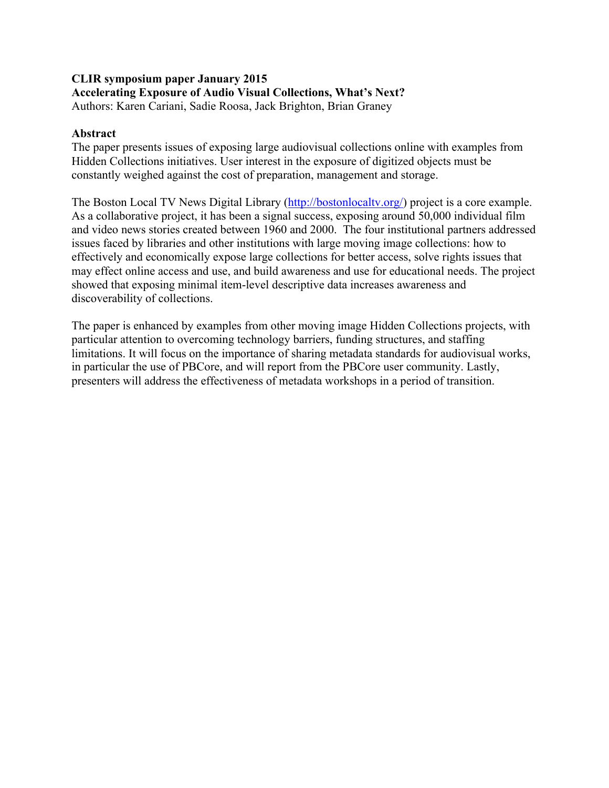#### **CLIR symposium paper January 2015 Accelerating Exposure of Audio Visual Collections, What's Next?** Authors: Karen Cariani, Sadie Roosa, Jack Brighton, Brian Graney

### **Abstract**

The paper presents issues of exposing large audiovisual collections online with examples from Hidden Collections initiatives. User interest in the exposure of digitized objects must be constantly weighed against the cost of preparation, management and storage.

The Boston Local TV News Digital Library (http://bostonlocaltv.org/) project is a core example. As a collaborative project, it has been a signal success, exposing around 50,000 individual film and video news stories created between 1960 and 2000. The four institutional partners addressed issues faced by libraries and other institutions with large moving image collections: how to effectively and economically expose large collections for better access, solve rights issues that may effect online access and use, and build awareness and use for educational needs. The project showed that exposing minimal item-level descriptive data increases awareness and discoverability of collections.

The paper is enhanced by examples from other moving image Hidden Collections projects, with particular attention to overcoming technology barriers, funding structures, and staffing limitations. It will focus on the importance of sharing metadata standards for audiovisual works, in particular the use of PBCore, and will report from the PBCore user community. Lastly, presenters will address the effectiveness of metadata workshops in a period of transition.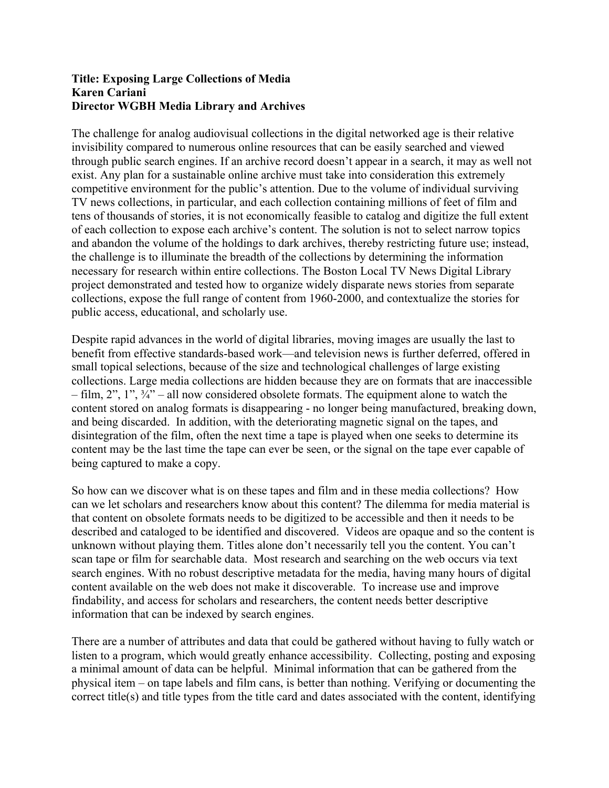#### **Title: Exposing Large Collections of Media Karen Cariani Director WGBH Media Library and Archives**

The challenge for analog audiovisual collections in the digital networked age is their relative invisibility compared to numerous online resources that can be easily searched and viewed through public search engines. If an archive record doesn't appear in a search, it may as well not exist. Any plan for a sustainable online archive must take into consideration this extremely competitive environment for the public's attention. Due to the volume of individual surviving TV news collections, in particular, and each collection containing millions of feet of film and tens of thousands of stories, it is not economically feasible to catalog and digitize the full extent of each collection to expose each archive's content. The solution is not to select narrow topics and abandon the volume of the holdings to dark archives, thereby restricting future use; instead, the challenge is to illuminate the breadth of the collections by determining the information necessary for research within entire collections. The Boston Local TV News Digital Library project demonstrated and tested how to organize widely disparate news stories from separate collections, expose the full range of content from 1960-2000, and contextualize the stories for public access, educational, and scholarly use.

Despite rapid advances in the world of digital libraries, moving images are usually the last to benefit from effective standards-based work—and television news is further deferred, offered in small topical selections, because of the size and technological challenges of large existing collections. Large media collections are hidden because they are on formats that are inaccessible – film, 2", 1", ¾" – all now considered obsolete formats. The equipment alone to watch the content stored on analog formats is disappearing - no longer being manufactured, breaking down, and being discarded. In addition, with the deteriorating magnetic signal on the tapes, and disintegration of the film, often the next time a tape is played when one seeks to determine its content may be the last time the tape can ever be seen, or the signal on the tape ever capable of being captured to make a copy.

So how can we discover what is on these tapes and film and in these media collections? How can we let scholars and researchers know about this content? The dilemma for media material is that content on obsolete formats needs to be digitized to be accessible and then it needs to be described and cataloged to be identified and discovered. Videos are opaque and so the content is unknown without playing them. Titles alone don't necessarily tell you the content. You can't scan tape or film for searchable data. Most research and searching on the web occurs via text search engines. With no robust descriptive metadata for the media, having many hours of digital content available on the web does not make it discoverable. To increase use and improve findability, and access for scholars and researchers, the content needs better descriptive information that can be indexed by search engines.

There are a number of attributes and data that could be gathered without having to fully watch or listen to a program, which would greatly enhance accessibility. Collecting, posting and exposing a minimal amount of data can be helpful. Minimal information that can be gathered from the physical item – on tape labels and film cans, is better than nothing. Verifying or documenting the correct title(s) and title types from the title card and dates associated with the content, identifying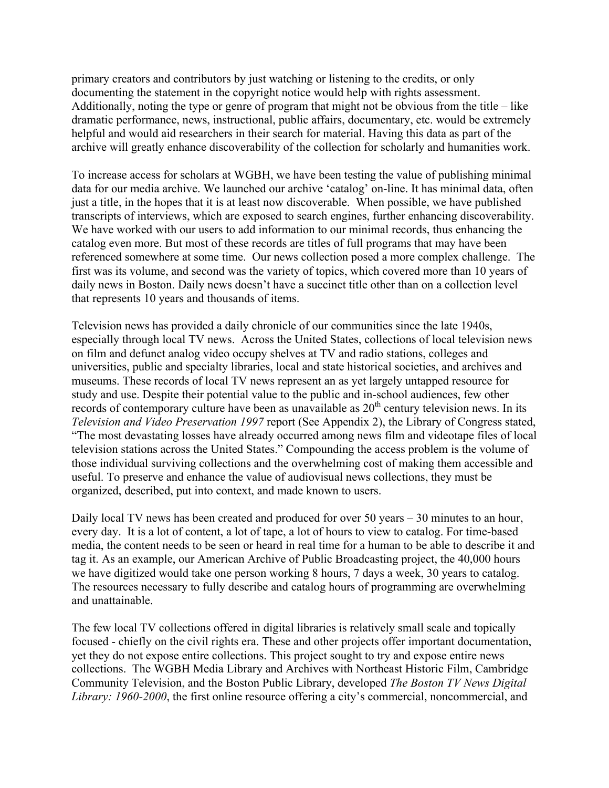primary creators and contributors by just watching or listening to the credits, or only documenting the statement in the copyright notice would help with rights assessment. Additionally, noting the type or genre of program that might not be obvious from the title – like dramatic performance, news, instructional, public affairs, documentary, etc. would be extremely helpful and would aid researchers in their search for material. Having this data as part of the archive will greatly enhance discoverability of the collection for scholarly and humanities work.

To increase access for scholars at WGBH, we have been testing the value of publishing minimal data for our media archive. We launched our archive 'catalog' on-line. It has minimal data, often just a title, in the hopes that it is at least now discoverable. When possible, we have published transcripts of interviews, which are exposed to search engines, further enhancing discoverability. We have worked with our users to add information to our minimal records, thus enhancing the catalog even more. But most of these records are titles of full programs that may have been referenced somewhere at some time. Our news collection posed a more complex challenge. The first was its volume, and second was the variety of topics, which covered more than 10 years of daily news in Boston. Daily news doesn't have a succinct title other than on a collection level that represents 10 years and thousands of items.

Television news has provided a daily chronicle of our communities since the late 1940s, especially through local TV news. Across the United States, collections of local television news on film and defunct analog video occupy shelves at TV and radio stations, colleges and universities, public and specialty libraries, local and state historical societies, and archives and museums. These records of local TV news represent an as yet largely untapped resource for study and use. Despite their potential value to the public and in-school audiences, few other records of contemporary culture have been as unavailable as  $20<sup>th</sup>$  century television news. In its *Television and Video Preservation 1997* report (See Appendix 2), the Library of Congress stated, "The most devastating losses have already occurred among news film and videotape files of local television stations across the United States." Compounding the access problem is the volume of those individual surviving collections and the overwhelming cost of making them accessible and useful. To preserve and enhance the value of audiovisual news collections, they must be organized, described, put into context, and made known to users.

Daily local TV news has been created and produced for over 50 years – 30 minutes to an hour, every day. It is a lot of content, a lot of tape, a lot of hours to view to catalog. For time-based media, the content needs to be seen or heard in real time for a human to be able to describe it and tag it. As an example, our American Archive of Public Broadcasting project, the 40,000 hours we have digitized would take one person working 8 hours, 7 days a week, 30 years to catalog. The resources necessary to fully describe and catalog hours of programming are overwhelming and unattainable.

The few local TV collections offered in digital libraries is relatively small scale and topically focused - chiefly on the civil rights era. These and other projects offer important documentation, yet they do not expose entire collections. This project sought to try and expose entire news collections. The WGBH Media Library and Archives with Northeast Historic Film, Cambridge Community Television, and the Boston Public Library, developed *The Boston TV News Digital Library: 1960-2000*, the first online resource offering a city's commercial, noncommercial, and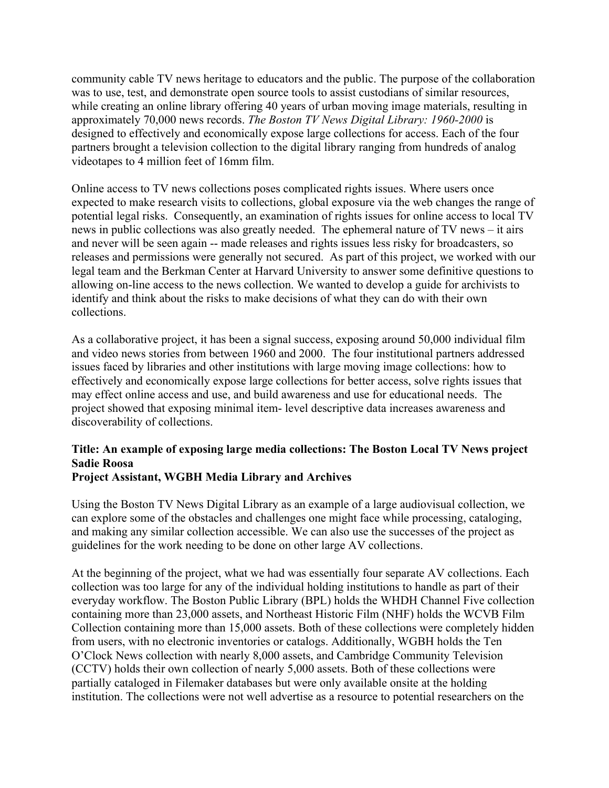community cable TV news heritage to educators and the public. The purpose of the collaboration was to use, test, and demonstrate open source tools to assist custodians of similar resources, while creating an online library offering 40 years of urban moving image materials, resulting in approximately 70,000 news records. *The Boston TV News Digital Library: 1960-2000* is designed to effectively and economically expose large collections for access. Each of the four partners brought a television collection to the digital library ranging from hundreds of analog videotapes to 4 million feet of 16mm film.

Online access to TV news collections poses complicated rights issues. Where users once expected to make research visits to collections, global exposure via the web changes the range of potential legal risks. Consequently, an examination of rights issues for online access to local TV news in public collections was also greatly needed. The ephemeral nature of TV news – it airs and never will be seen again -- made releases and rights issues less risky for broadcasters, so releases and permissions were generally not secured. As part of this project, we worked with our legal team and the Berkman Center at Harvard University to answer some definitive questions to allowing on-line access to the news collection. We wanted to develop a guide for archivists to identify and think about the risks to make decisions of what they can do with their own collections.

As a collaborative project, it has been a signal success, exposing around 50,000 individual film and video news stories from between 1960 and 2000. The four institutional partners addressed issues faced by libraries and other institutions with large moving image collections: how to effectively and economically expose large collections for better access, solve rights issues that may effect online access and use, and build awareness and use for educational needs. The project showed that exposing minimal item- level descriptive data increases awareness and discoverability of collections.

# **Title: An example of exposing large media collections: The Boston Local TV News project Sadie Roosa**

## **Project Assistant, WGBH Media Library and Archives**

Using the Boston TV News Digital Library as an example of a large audiovisual collection, we can explore some of the obstacles and challenges one might face while processing, cataloging, and making any similar collection accessible. We can also use the successes of the project as guidelines for the work needing to be done on other large AV collections.

At the beginning of the project, what we had was essentially four separate AV collections. Each collection was too large for any of the individual holding institutions to handle as part of their everyday workflow. The Boston Public Library (BPL) holds the WHDH Channel Five collection containing more than 23,000 assets, and Northeast Historic Film (NHF) holds the WCVB Film Collection containing more than 15,000 assets. Both of these collections were completely hidden from users, with no electronic inventories or catalogs. Additionally, WGBH holds the Ten O'Clock News collection with nearly 8,000 assets, and Cambridge Community Television (CCTV) holds their own collection of nearly 5,000 assets. Both of these collections were partially cataloged in Filemaker databases but were only available onsite at the holding institution. The collections were not well advertise as a resource to potential researchers on the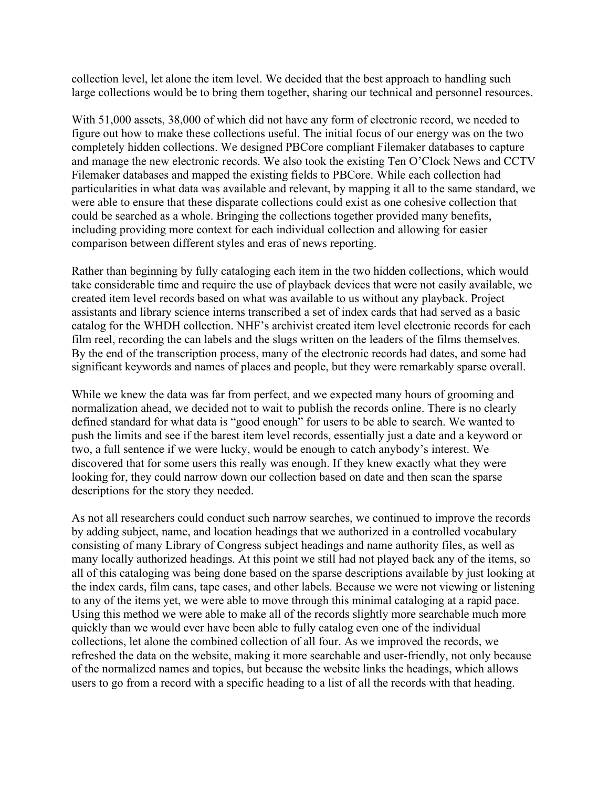collection level, let alone the item level. We decided that the best approach to handling such large collections would be to bring them together, sharing our technical and personnel resources.

With 51,000 assets, 38,000 of which did not have any form of electronic record, we needed to figure out how to make these collections useful. The initial focus of our energy was on the two completely hidden collections. We designed PBCore compliant Filemaker databases to capture and manage the new electronic records. We also took the existing Ten O'Clock News and CCTV Filemaker databases and mapped the existing fields to PBCore. While each collection had particularities in what data was available and relevant, by mapping it all to the same standard, we were able to ensure that these disparate collections could exist as one cohesive collection that could be searched as a whole. Bringing the collections together provided many benefits, including providing more context for each individual collection and allowing for easier comparison between different styles and eras of news reporting.

Rather than beginning by fully cataloging each item in the two hidden collections, which would take considerable time and require the use of playback devices that were not easily available, we created item level records based on what was available to us without any playback. Project assistants and library science interns transcribed a set of index cards that had served as a basic catalog for the WHDH collection. NHF's archivist created item level electronic records for each film reel, recording the can labels and the slugs written on the leaders of the films themselves. By the end of the transcription process, many of the electronic records had dates, and some had significant keywords and names of places and people, but they were remarkably sparse overall.

While we knew the data was far from perfect, and we expected many hours of grooming and normalization ahead, we decided not to wait to publish the records online. There is no clearly defined standard for what data is "good enough" for users to be able to search. We wanted to push the limits and see if the barest item level records, essentially just a date and a keyword or two, a full sentence if we were lucky, would be enough to catch anybody's interest. We discovered that for some users this really was enough. If they knew exactly what they were looking for, they could narrow down our collection based on date and then scan the sparse descriptions for the story they needed.

As not all researchers could conduct such narrow searches, we continued to improve the records by adding subject, name, and location headings that we authorized in a controlled vocabulary consisting of many Library of Congress subject headings and name authority files, as well as many locally authorized headings. At this point we still had not played back any of the items, so all of this cataloging was being done based on the sparse descriptions available by just looking at the index cards, film cans, tape cases, and other labels. Because we were not viewing or listening to any of the items yet, we were able to move through this minimal cataloging at a rapid pace. Using this method we were able to make all of the records slightly more searchable much more quickly than we would ever have been able to fully catalog even one of the individual collections, let alone the combined collection of all four. As we improved the records, we refreshed the data on the website, making it more searchable and user-friendly, not only because of the normalized names and topics, but because the website links the headings, which allows users to go from a record with a specific heading to a list of all the records with that heading.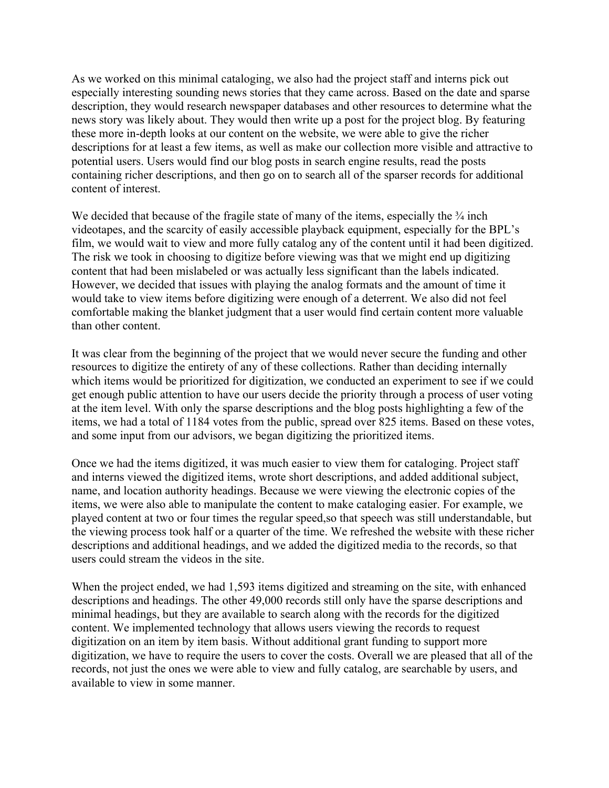As we worked on this minimal cataloging, we also had the project staff and interns pick out especially interesting sounding news stories that they came across. Based on the date and sparse description, they would research newspaper databases and other resources to determine what the news story was likely about. They would then write up a post for the project blog. By featuring these more in-depth looks at our content on the website, we were able to give the richer descriptions for at least a few items, as well as make our collection more visible and attractive to potential users. Users would find our blog posts in search engine results, read the posts containing richer descriptions, and then go on to search all of the sparser records for additional content of interest.

We decided that because of the fragile state of many of the items, especially the  $\frac{3}{4}$  inch videotapes, and the scarcity of easily accessible playback equipment, especially for the BPL's film, we would wait to view and more fully catalog any of the content until it had been digitized. The risk we took in choosing to digitize before viewing was that we might end up digitizing content that had been mislabeled or was actually less significant than the labels indicated. However, we decided that issues with playing the analog formats and the amount of time it would take to view items before digitizing were enough of a deterrent. We also did not feel comfortable making the blanket judgment that a user would find certain content more valuable than other content.

It was clear from the beginning of the project that we would never secure the funding and other resources to digitize the entirety of any of these collections. Rather than deciding internally which items would be prioritized for digitization, we conducted an experiment to see if we could get enough public attention to have our users decide the priority through a process of user voting at the item level. With only the sparse descriptions and the blog posts highlighting a few of the items, we had a total of 1184 votes from the public, spread over 825 items. Based on these votes, and some input from our advisors, we began digitizing the prioritized items.

Once we had the items digitized, it was much easier to view them for cataloging. Project staff and interns viewed the digitized items, wrote short descriptions, and added additional subject, name, and location authority headings. Because we were viewing the electronic copies of the items, we were also able to manipulate the content to make cataloging easier. For example, we played content at two or four times the regular speed,so that speech was still understandable, but the viewing process took half or a quarter of the time. We refreshed the website with these richer descriptions and additional headings, and we added the digitized media to the records, so that users could stream the videos in the site.

When the project ended, we had 1,593 items digitized and streaming on the site, with enhanced descriptions and headings. The other 49,000 records still only have the sparse descriptions and minimal headings, but they are available to search along with the records for the digitized content. We implemented technology that allows users viewing the records to request digitization on an item by item basis. Without additional grant funding to support more digitization, we have to require the users to cover the costs. Overall we are pleased that all of the records, not just the ones we were able to view and fully catalog, are searchable by users, and available to view in some manner.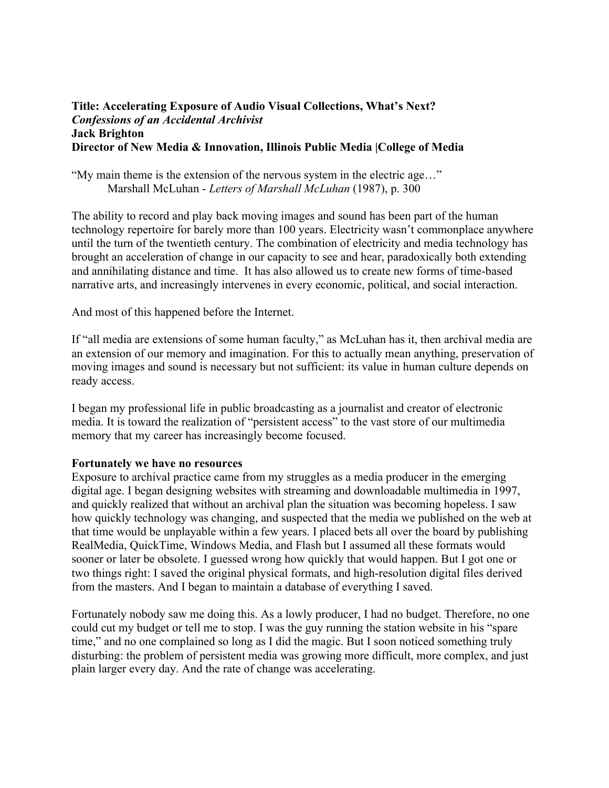#### **Title: Accelerating Exposure of Audio Visual Collections, What's Next?** *Confessions of an Accidental Archivist* **Jack Brighton Director of New Media & Innovation, Illinois Public Media |College of Media**

"My main theme is the extension of the nervous system in the electric age…" Marshall McLuhan - *Letters of Marshall McLuhan* (1987), p. 300

The ability to record and play back moving images and sound has been part of the human technology repertoire for barely more than 100 years. Electricity wasn't commonplace anywhere until the turn of the twentieth century. The combination of electricity and media technology has brought an acceleration of change in our capacity to see and hear, paradoxically both extending and annihilating distance and time. It has also allowed us to create new forms of time-based narrative arts, and increasingly intervenes in every economic, political, and social interaction.

And most of this happened before the Internet.

If "all media are extensions of some human faculty," as McLuhan has it, then archival media are an extension of our memory and imagination. For this to actually mean anything, preservation of moving images and sound is necessary but not sufficient: its value in human culture depends on ready access.

I began my professional life in public broadcasting as a journalist and creator of electronic media. It is toward the realization of "persistent access" to the vast store of our multimedia memory that my career has increasingly become focused.

#### **Fortunately we have no resources**

Exposure to archival practice came from my struggles as a media producer in the emerging digital age. I began designing websites with streaming and downloadable multimedia in 1997, and quickly realized that without an archival plan the situation was becoming hopeless. I saw how quickly technology was changing, and suspected that the media we published on the web at that time would be unplayable within a few years. I placed bets all over the board by publishing RealMedia, QuickTime, Windows Media, and Flash but I assumed all these formats would sooner or later be obsolete. I guessed wrong how quickly that would happen. But I got one or two things right: I saved the original physical formats, and high-resolution digital files derived from the masters. And I began to maintain a database of everything I saved.

Fortunately nobody saw me doing this. As a lowly producer, I had no budget. Therefore, no one could cut my budget or tell me to stop. I was the guy running the station website in his "spare time," and no one complained so long as I did the magic. But I soon noticed something truly disturbing: the problem of persistent media was growing more difficult, more complex, and just plain larger every day. And the rate of change was accelerating.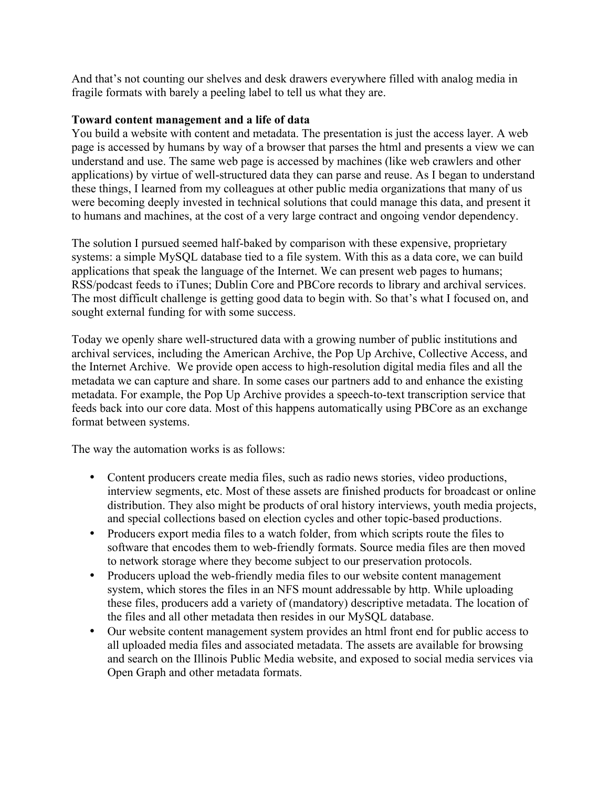And that's not counting our shelves and desk drawers everywhere filled with analog media in fragile formats with barely a peeling label to tell us what they are.

### **Toward content management and a life of data**

You build a website with content and metadata. The presentation is just the access layer. A web page is accessed by humans by way of a browser that parses the html and presents a view we can understand and use. The same web page is accessed by machines (like web crawlers and other applications) by virtue of well-structured data they can parse and reuse. As I began to understand these things, I learned from my colleagues at other public media organizations that many of us were becoming deeply invested in technical solutions that could manage this data, and present it to humans and machines, at the cost of a very large contract and ongoing vendor dependency.

The solution I pursued seemed half-baked by comparison with these expensive, proprietary systems: a simple MySQL database tied to a file system. With this as a data core, we can build applications that speak the language of the Internet. We can present web pages to humans; RSS/podcast feeds to iTunes; Dublin Core and PBCore records to library and archival services. The most difficult challenge is getting good data to begin with. So that's what I focused on, and sought external funding for with some success.

Today we openly share well-structured data with a growing number of public institutions and archival services, including the American Archive, the Pop Up Archive, Collective Access, and the Internet Archive. We provide open access to high-resolution digital media files and all the metadata we can capture and share. In some cases our partners add to and enhance the existing metadata. For example, the Pop Up Archive provides a speech-to-text transcription service that feeds back into our core data. Most of this happens automatically using PBCore as an exchange format between systems.

The way the automation works is as follows:

- Content producers create media files, such as radio news stories, video productions, interview segments, etc. Most of these assets are finished products for broadcast or online distribution. They also might be products of oral history interviews, youth media projects, and special collections based on election cycles and other topic-based productions.
- Producers export media files to a watch folder, from which scripts route the files to software that encodes them to web-friendly formats. Source media files are then moved to network storage where they become subject to our preservation protocols.
- Producers upload the web-friendly media files to our website content management system, which stores the files in an NFS mount addressable by http. While uploading these files, producers add a variety of (mandatory) descriptive metadata. The location of the files and all other metadata then resides in our MySQL database.
- Our website content management system provides an html front end for public access to all uploaded media files and associated metadata. The assets are available for browsing and search on the Illinois Public Media website, and exposed to social media services via Open Graph and other metadata formats.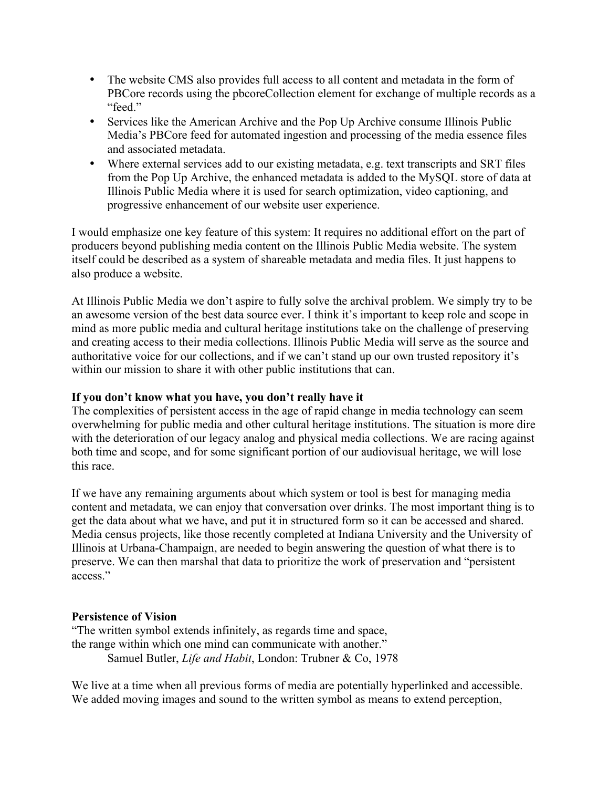- The website CMS also provides full access to all content and metadata in the form of PBCore records using the pbcoreCollection element for exchange of multiple records as a "feed."
- Services like the American Archive and the Pop Up Archive consume Illinois Public Media's PBCore feed for automated ingestion and processing of the media essence files and associated metadata.
- Where external services add to our existing metadata, e.g. text transcripts and SRT files from the Pop Up Archive, the enhanced metadata is added to the MySQL store of data at Illinois Public Media where it is used for search optimization, video captioning, and progressive enhancement of our website user experience.

I would emphasize one key feature of this system: It requires no additional effort on the part of producers beyond publishing media content on the Illinois Public Media website. The system itself could be described as a system of shareable metadata and media files. It just happens to also produce a website.

At Illinois Public Media we don't aspire to fully solve the archival problem. We simply try to be an awesome version of the best data source ever. I think it's important to keep role and scope in mind as more public media and cultural heritage institutions take on the challenge of preserving and creating access to their media collections. Illinois Public Media will serve as the source and authoritative voice for our collections, and if we can't stand up our own trusted repository it's within our mission to share it with other public institutions that can.

#### **If you don't know what you have, you don't really have it**

The complexities of persistent access in the age of rapid change in media technology can seem overwhelming for public media and other cultural heritage institutions. The situation is more dire with the deterioration of our legacy analog and physical media collections. We are racing against both time and scope, and for some significant portion of our audiovisual heritage, we will lose this race.

If we have any remaining arguments about which system or tool is best for managing media content and metadata, we can enjoy that conversation over drinks. The most important thing is to get the data about what we have, and put it in structured form so it can be accessed and shared. Media census projects, like those recently completed at Indiana University and the University of Illinois at Urbana-Champaign, are needed to begin answering the question of what there is to preserve. We can then marshal that data to prioritize the work of preservation and "persistent access."

#### **Persistence of Vision**

"The written symbol extends infinitely, as regards time and space, the range within which one mind can communicate with another." Samuel Butler, *Life and Habit*, London: Trubner & Co, 1978

We live at a time when all previous forms of media are potentially hyperlinked and accessible. We added moving images and sound to the written symbol as means to extend perception,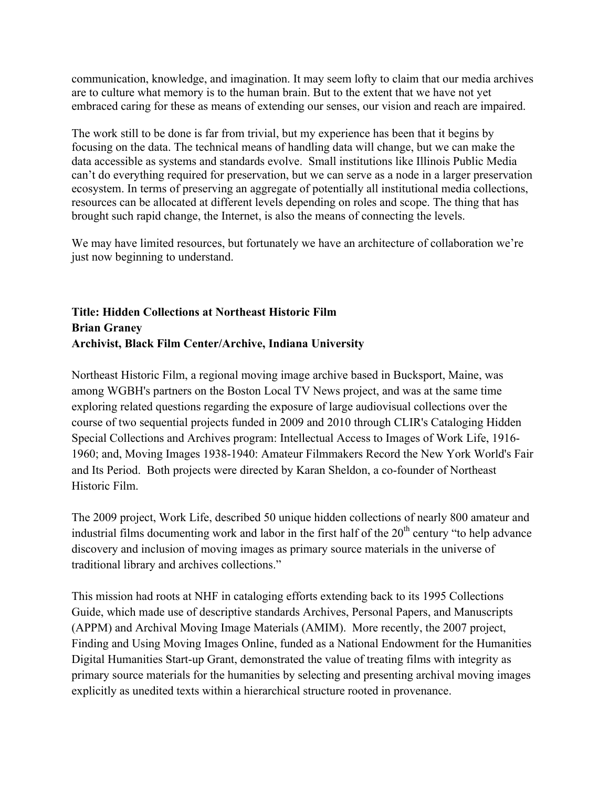communication, knowledge, and imagination. It may seem lofty to claim that our media archives are to culture what memory is to the human brain. But to the extent that we have not yet embraced caring for these as means of extending our senses, our vision and reach are impaired.

The work still to be done is far from trivial, but my experience has been that it begins by focusing on the data. The technical means of handling data will change, but we can make the data accessible as systems and standards evolve. Small institutions like Illinois Public Media can't do everything required for preservation, but we can serve as a node in a larger preservation ecosystem. In terms of preserving an aggregate of potentially all institutional media collections, resources can be allocated at different levels depending on roles and scope. The thing that has brought such rapid change, the Internet, is also the means of connecting the levels.

We may have limited resources, but fortunately we have an architecture of collaboration we're just now beginning to understand.

# **Title: Hidden Collections at Northeast Historic Film Brian Graney Archivist, Black Film Center/Archive, Indiana University**

Northeast Historic Film, a regional moving image archive based in Bucksport, Maine, was among WGBH's partners on the Boston Local TV News project, and was at the same time exploring related questions regarding the exposure of large audiovisual collections over the course of two sequential projects funded in 2009 and 2010 through CLIR's Cataloging Hidden Special Collections and Archives program: Intellectual Access to Images of Work Life, 1916- 1960; and, Moving Images 1938-1940: Amateur Filmmakers Record the New York World's Fair and Its Period. Both projects were directed by Karan Sheldon, a co-founder of Northeast Historic Film.

The 2009 project, Work Life, described 50 unique hidden collections of nearly 800 amateur and industrial films documenting work and labor in the first half of the  $20<sup>th</sup>$  century "to help advance" discovery and inclusion of moving images as primary source materials in the universe of traditional library and archives collections."

This mission had roots at NHF in cataloging efforts extending back to its 1995 Collections Guide, which made use of descriptive standards Archives, Personal Papers, and Manuscripts (APPM) and Archival Moving Image Materials (AMIM). More recently, the 2007 project, Finding and Using Moving Images Online, funded as a National Endowment for the Humanities Digital Humanities Start-up Grant, demonstrated the value of treating films with integrity as primary source materials for the humanities by selecting and presenting archival moving images explicitly as unedited texts within a hierarchical structure rooted in provenance.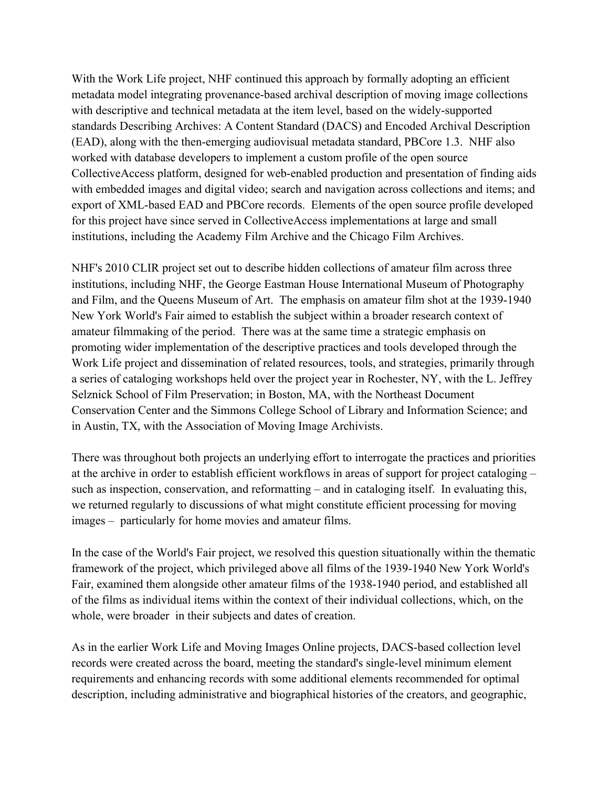With the Work Life project, NHF continued this approach by formally adopting an efficient metadata model integrating provenance-based archival description of moving image collections with descriptive and technical metadata at the item level, based on the widely-supported standards Describing Archives: A Content Standard (DACS) and Encoded Archival Description (EAD), along with the then-emerging audiovisual metadata standard, PBCore 1.3. NHF also worked with database developers to implement a custom profile of the open source CollectiveAccess platform, designed for web-enabled production and presentation of finding aids with embedded images and digital video; search and navigation across collections and items; and export of XML-based EAD and PBCore records. Elements of the open source profile developed for this project have since served in CollectiveAccess implementations at large and small institutions, including the Academy Film Archive and the Chicago Film Archives.

NHF's 2010 CLIR project set out to describe hidden collections of amateur film across three institutions, including NHF, the George Eastman House International Museum of Photography and Film, and the Queens Museum of Art. The emphasis on amateur film shot at the 1939-1940 New York World's Fair aimed to establish the subject within a broader research context of amateur filmmaking of the period. There was at the same time a strategic emphasis on promoting wider implementation of the descriptive practices and tools developed through the Work Life project and dissemination of related resources, tools, and strategies, primarily through a series of cataloging workshops held over the project year in Rochester, NY, with the L. Jeffrey Selznick School of Film Preservation; in Boston, MA, with the Northeast Document Conservation Center and the Simmons College School of Library and Information Science; and in Austin, TX, with the Association of Moving Image Archivists.

There was throughout both projects an underlying effort to interrogate the practices and priorities at the archive in order to establish efficient workflows in areas of support for project cataloging – such as inspection, conservation, and reformatting – and in cataloging itself. In evaluating this, we returned regularly to discussions of what might constitute efficient processing for moving images – particularly for home movies and amateur films.

In the case of the World's Fair project, we resolved this question situationally within the thematic framework of the project, which privileged above all films of the 1939-1940 New York World's Fair, examined them alongside other amateur films of the 1938-1940 period, and established all of the films as individual items within the context of their individual collections, which, on the whole, were broader in their subjects and dates of creation.

As in the earlier Work Life and Moving Images Online projects, DACS-based collection level records were created across the board, meeting the standard's single-level minimum element requirements and enhancing records with some additional elements recommended for optimal description, including administrative and biographical histories of the creators, and geographic,